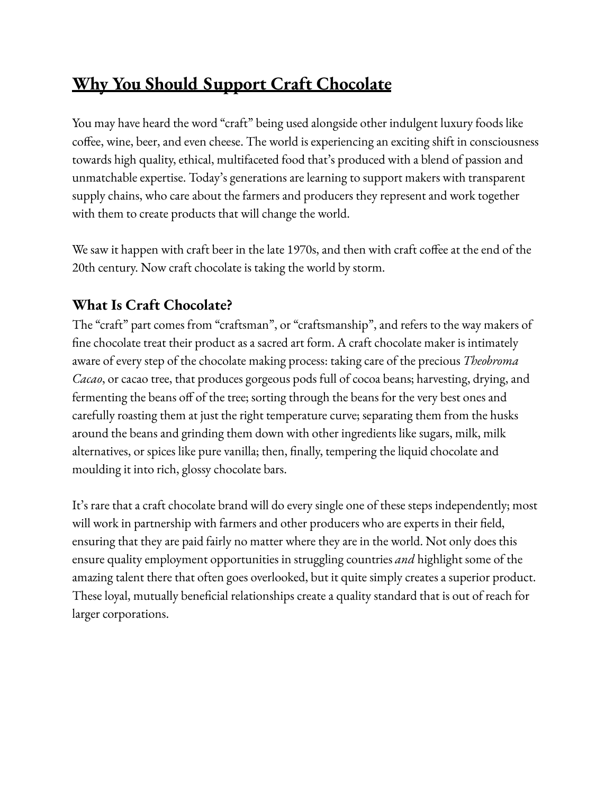# **Why You Should Support Craft Chocolate**

You may have heard the word "craft" being used alongside other indulgent luxury foods like coffee, wine, beer, and even cheese. The world is experiencing an exciting shift in consciousness towards high quality, ethical, multifaceted food that's produced with a blend of passion and unmatchable expertise. Today's generations are learning to support makers with transparent supply chains, who care about the farmers and producers they represent and work together with them to create products that will change the world.

We saw it happen with craft beer in the late 1970s, and then with craft coffee at the end of the 20th century. Now craft chocolate is taking the world by storm.

## **What Is Craft Chocolate?**

The "craft" part comes from "craftsman", or "craftsmanship", and refers to the way makers of fine chocolate treat their product as a sacred art form. A craft chocolate maker is intimately aware of every step of the chocolate making process: taking care of the precious *Theobroma Cacao*, or cacao tree, that produces gorgeous pods full of cocoa beans; harvesting, drying, and fermenting the beans off of the tree; sorting through the beans for the very best ones and carefully roasting them at just the right temperature curve; separating them from the husks around the beans and grinding them down with other ingredients like sugars, milk, milk alternatives, or spices like pure vanilla; then, finally, tempering the liquid chocolate and moulding it into rich, glossy chocolate bars.

It's rare that a craft chocolate brand will do every single one of these steps independently; most will work in partnership with farmers and other producers who are experts in their field, ensuring that they are paid fairly no matter where they are in the world. Not only does this ensure quality employment opportunities in struggling countries *and* highlight some of the amazing talent there that often goes overlooked, but it quite simply creates a superior product. These loyal, mutually beneficial relationships create a quality standard that is out of reach for larger corporations.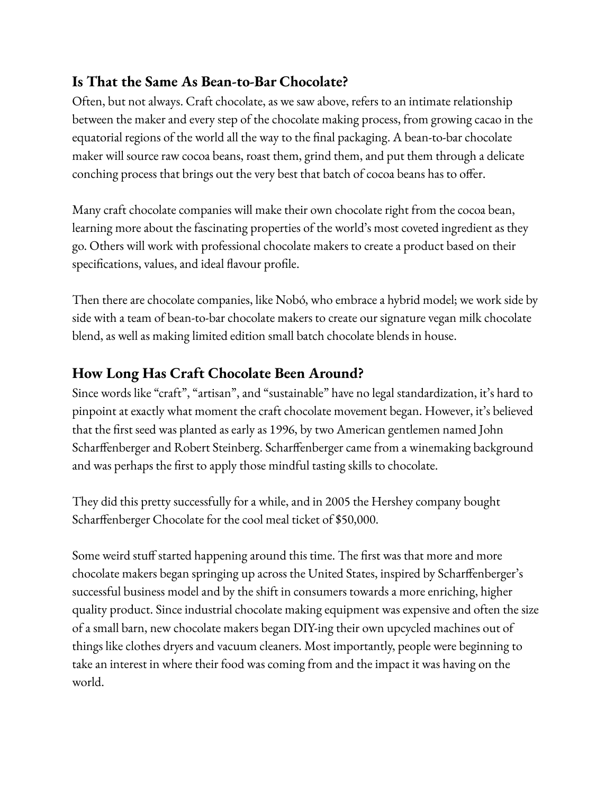## **Is That the Same As Bean-to-Bar Chocolate?**

Often, but not always. Craft chocolate, as we saw above, refers to an intimate relationship between the maker and every step of the chocolate making process, from growing cacao in the equatorial regions of the world all the way to the final packaging. A bean-to-bar chocolate maker will source raw cocoa beans, roast them, grind them, and put them through a delicate conching process that brings out the very best that batch of cocoa beans has to offer.

Many craft chocolate companies will make their own chocolate right from the cocoa bean, learning more about the fascinating properties of the world's most coveted ingredient as they go. Others will work with professional chocolate makers to create a product based on their specifications, values, and ideal flavour profile.

Then there are chocolate companies, like Nobó, who embrace a hybrid model; we work side by side with a team of bean-to-bar chocolate makers to create our signature vegan milk chocolate blend, as well as making limited edition small batch chocolate blends in house.

## **How Long Has Craft Chocolate Been Around?**

Since words like "craft", "artisan", and "sustainable" have no legal standardization, it's hard to pinpoint at exactly what moment the craft chocolate movement began. However, it's believed that the first seed was planted as early as 1996, by two American gentlemen named John Scharffenberger and Robert Steinberg. Scharffenberger came from a winemaking background and was perhaps the first to apply those mindful tasting skills to chocolate.

They did this pretty successfully for a while, and in 2005 the Hershey company bought Scharffenberger Chocolate for the cool meal ticket of \$50,000.

Some weird stuff started happening around this time. The first was that more and more chocolate makers began springing up across the United States, inspired by Scharffenberger's successful business model and by the shift in consumers towards a more enriching, higher quality product. Since industrial chocolate making equipment was expensive and often the size of a small barn, new chocolate makers began DIY-ing their own upcycled machines out of things like clothes dryers and vacuum cleaners. Most importantly, people were beginning to take an interest in where their food was coming from and the impact it was having on the world.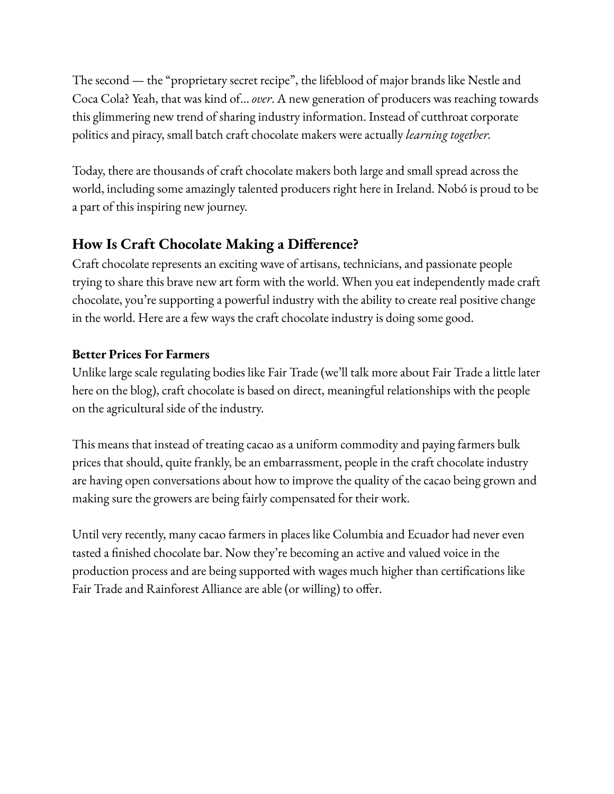The second — the "proprietary secret recipe", the lifeblood of major brands like Nestle and Coca Cola? Yeah, that was kind of... *over*. A new generation of producers was reaching towards this glimmering new trend of sharing industry information. Instead of cutthroat corporate politics and piracy, small batch craft chocolate makers were actually *learning together.*

Today, there are thousands of craft chocolate makers both large and small spread across the world, including some amazingly talented producers right here in Ireland. Nobó is proud to be a part of this inspiring new journey.

#### **How Is Craft Chocolate Making a Difference?**

Craft chocolate represents an exciting wave of artisans, technicians, and passionate people trying to share this brave new art form with the world. When you eat independently made craft chocolate, you're supporting a powerful industry with the ability to create real positive change in the world. Here are a few ways the craft chocolate industry is doing some good.

#### **Better Prices For Farmers**

Unlike large scale regulating bodies like Fair Trade (we'll talk more about Fair Trade a little later here on the blog), craft chocolate is based on direct, meaningful relationships with the people on the agricultural side of the industry.

This means that instead of treating cacao as a uniform commodity and paying farmers bulk prices that should, quite frankly, be an embarrassment, people in the craft chocolate industry are having open conversations about how to improve the quality of the cacao being grown and making sure the growers are being fairly compensated for their work.

Until very recently, many cacao farmers in places like Columbia and Ecuador had never even tasted a finished chocolate bar. Now they're becoming an active and valued voice in the production process and are being supported with wages much higher than certifications like Fair Trade and Rainforest Alliance are able (or willing) to offer.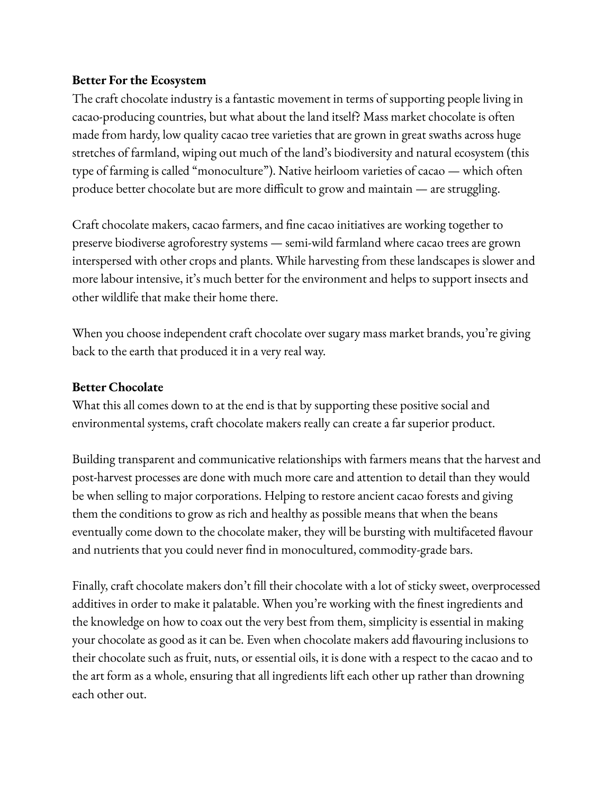#### **Better For the Ecosystem**

The craft chocolate industry is a fantastic movement in terms of supporting people living in cacao-producing countries, but what about the land itself? Mass market chocolate is often made from hardy, low quality cacao tree varieties that are grown in great swaths across huge stretches of farmland, wiping out much of the land's biodiversity and natural ecosystem (this type of farming is called "monoculture"). Native heirloom varieties of cacao — which often produce better chocolate but are more difficult to grow and maintain — are struggling.

Craft chocolate makers, cacao farmers, and fine cacao initiatives are working together to preserve biodiverse agroforestry systems — semi-wild farmland where cacao trees are grown interspersed with other crops and plants. While harvesting from these landscapes is slower and more labour intensive, it's much better for the environment and helps to support insects and other wildlife that make their home there.

When you choose independent craft chocolate over sugary mass market brands, you're giving back to the earth that produced it in a very real way.

#### **Better Chocolate**

What this all comes down to at the end is that by supporting these positive social and environmental systems, craft chocolate makers really can create a far superior product.

Building transparent and communicative relationships with farmers means that the harvest and post-harvest processes are done with much more care and attention to detail than they would be when selling to major corporations. Helping to restore ancient cacao forests and giving them the conditions to grow as rich and healthy as possible means that when the beans eventually come down to the chocolate maker, they will be bursting with multifaceted flavour and nutrients that you could never find in monocultured, commodity-grade bars.

Finally, craft chocolate makers don't fill their chocolate with a lot of sticky sweet, overprocessed additives in order to make it palatable. When you're working with the finest ingredients and the knowledge on how to coax out the very best from them, simplicity is essential in making your chocolate as good as it can be. Even when chocolate makers add flavouring inclusions to their chocolate such as fruit, nuts, or essential oils, it is done with a respect to the cacao and to the art form as a whole, ensuring that all ingredients lift each other up rather than drowning each other out.